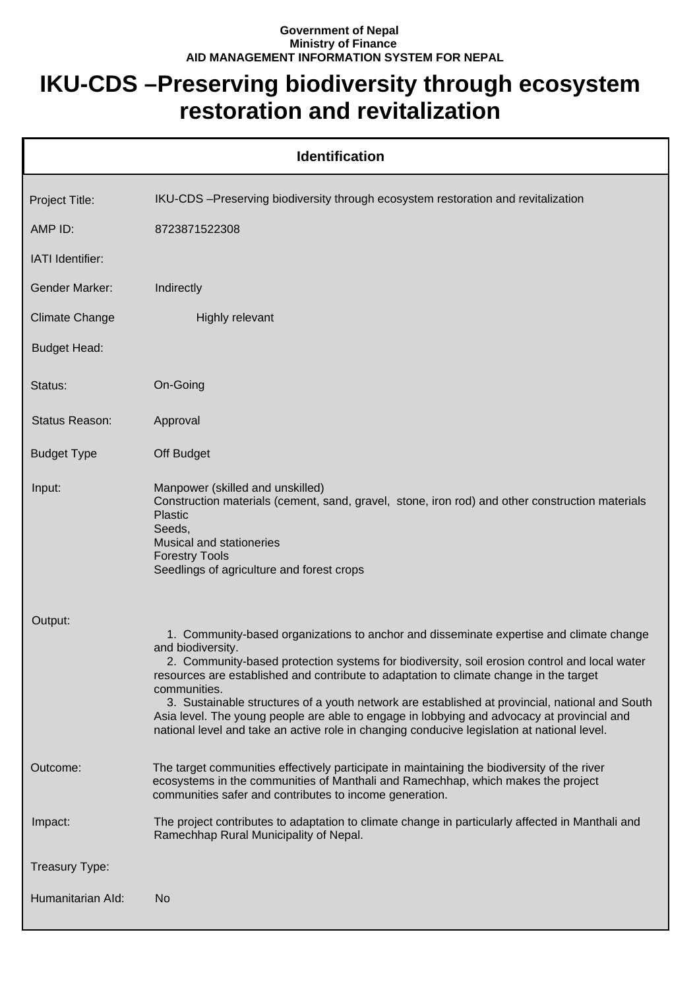## **Government of Nepal Ministry of Finance AID MANAGEMENT INFORMATION SYSTEM FOR NEPAL**

## **IKU-CDS –Preserving biodiversity through ecosystem restoration and revitalization**

| <b>Identification</b> |                                                                                                                                                                                                                                                                                                                                                                                                                                                                                                                                                                                                                       |  |
|-----------------------|-----------------------------------------------------------------------------------------------------------------------------------------------------------------------------------------------------------------------------------------------------------------------------------------------------------------------------------------------------------------------------------------------------------------------------------------------------------------------------------------------------------------------------------------------------------------------------------------------------------------------|--|
| Project Title:        | IKU-CDS -Preserving biodiversity through ecosystem restoration and revitalization                                                                                                                                                                                                                                                                                                                                                                                                                                                                                                                                     |  |
| AMP ID:               | 8723871522308                                                                                                                                                                                                                                                                                                                                                                                                                                                                                                                                                                                                         |  |
| IATI Identifier:      |                                                                                                                                                                                                                                                                                                                                                                                                                                                                                                                                                                                                                       |  |
| <b>Gender Marker:</b> | Indirectly                                                                                                                                                                                                                                                                                                                                                                                                                                                                                                                                                                                                            |  |
| <b>Climate Change</b> | Highly relevant                                                                                                                                                                                                                                                                                                                                                                                                                                                                                                                                                                                                       |  |
| <b>Budget Head:</b>   |                                                                                                                                                                                                                                                                                                                                                                                                                                                                                                                                                                                                                       |  |
| Status:               | On-Going                                                                                                                                                                                                                                                                                                                                                                                                                                                                                                                                                                                                              |  |
| Status Reason:        | Approval                                                                                                                                                                                                                                                                                                                                                                                                                                                                                                                                                                                                              |  |
| <b>Budget Type</b>    | Off Budget                                                                                                                                                                                                                                                                                                                                                                                                                                                                                                                                                                                                            |  |
| Input:                | Manpower (skilled and unskilled)<br>Construction materials (cement, sand, gravel, stone, iron rod) and other construction materials<br><b>Plastic</b><br>Seeds,<br>Musical and stationeries<br><b>Forestry Tools</b><br>Seedlings of agriculture and forest crops                                                                                                                                                                                                                                                                                                                                                     |  |
| Output:               | 1. Community-based organizations to anchor and disseminate expertise and climate change<br>and biodiversity.<br>2. Community-based protection systems for biodiversity, soil erosion control and local water<br>resources are established and contribute to adaptation to climate change in the target<br>communities.<br>3. Sustainable structures of a youth network are established at provincial, national and South<br>Asia level. The young people are able to engage in lobbying and advocacy at provincial and<br>national level and take an active role in changing conducive legislation at national level. |  |
| Outcome:              | The target communities effectively participate in maintaining the biodiversity of the river<br>ecosystems in the communities of Manthali and Ramechhap, which makes the project<br>communities safer and contributes to income generation.                                                                                                                                                                                                                                                                                                                                                                            |  |
| Impact:               | The project contributes to adaptation to climate change in particularly affected in Manthali and<br>Ramechhap Rural Municipality of Nepal.                                                                                                                                                                                                                                                                                                                                                                                                                                                                            |  |
| Treasury Type:        |                                                                                                                                                                                                                                                                                                                                                                                                                                                                                                                                                                                                                       |  |
| Humanitarian Ald:     | No                                                                                                                                                                                                                                                                                                                                                                                                                                                                                                                                                                                                                    |  |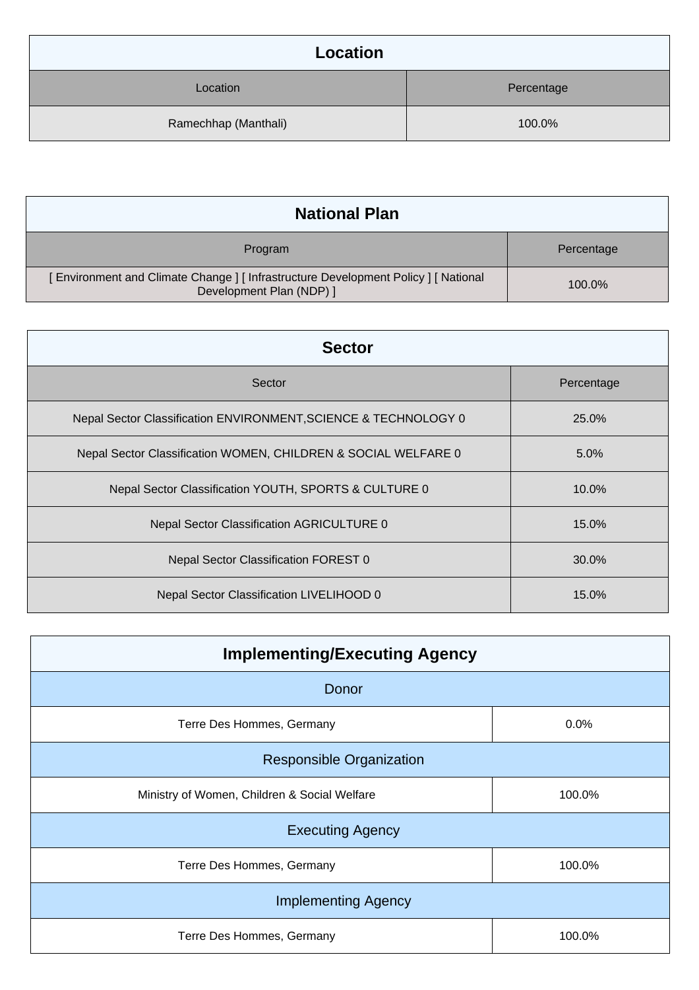| Location             |            |
|----------------------|------------|
| Location             | Percentage |
| Ramechhap (Manthali) | 100.0%     |

| <b>National Plan</b>                                                                                          |            |
|---------------------------------------------------------------------------------------------------------------|------------|
| Program                                                                                                       | Percentage |
| Environment and Climate Change ] [ Infrastructure Development Policy ] [ National<br>Development Plan (NDP) ] | 100.0%     |

| <b>Sector</b>                                                   |            |  |
|-----------------------------------------------------------------|------------|--|
| Sector                                                          | Percentage |  |
| Nepal Sector Classification ENVIRONMENT, SCIENCE & TECHNOLOGY 0 | 25.0%      |  |
| Nepal Sector Classification WOMEN, CHILDREN & SOCIAL WELFARE 0  | $5.0\%$    |  |
| Nepal Sector Classification YOUTH, SPORTS & CULTURE 0           | 10.0%      |  |
| Nepal Sector Classification AGRICULTURE 0                       | 15.0%      |  |
| Nepal Sector Classification FOREST 0                            | 30.0%      |  |
| <b>Nepal Sector Classification LIVELIHOOD 0</b>                 | 15.0%      |  |

| <b>Implementing/Executing Agency</b>         |        |  |
|----------------------------------------------|--------|--|
| Donor                                        |        |  |
| Terre Des Hommes, Germany                    | 0.0%   |  |
| <b>Responsible Organization</b>              |        |  |
| Ministry of Women, Children & Social Welfare | 100.0% |  |
| <b>Executing Agency</b>                      |        |  |
| Terre Des Hommes, Germany                    | 100.0% |  |
| <b>Implementing Agency</b>                   |        |  |
| Terre Des Hommes, Germany                    | 100.0% |  |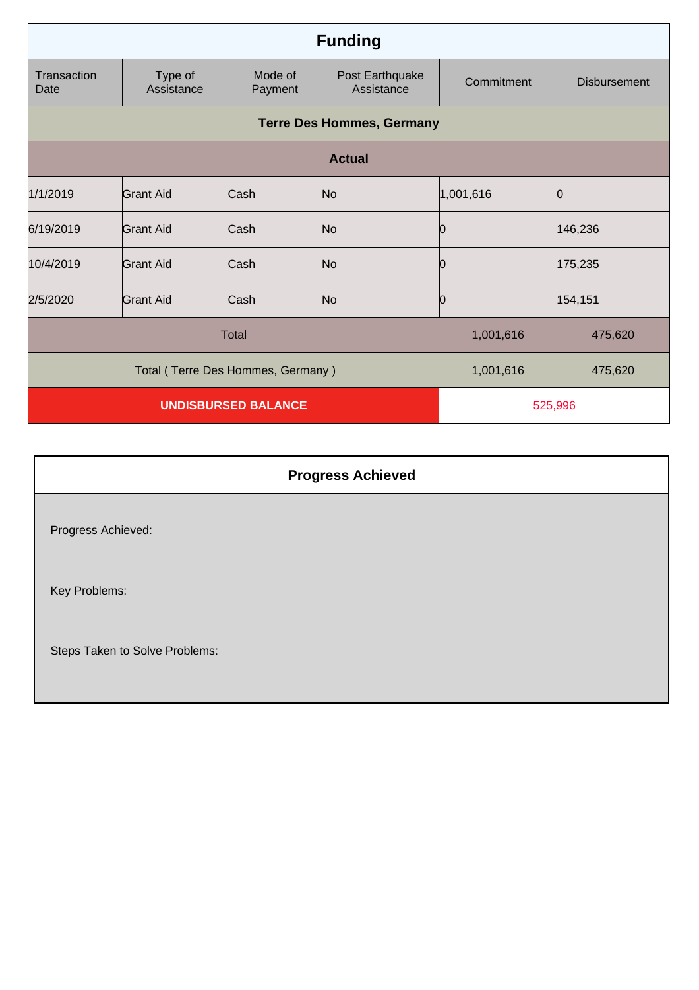| <b>Funding</b>                    |                       |                    |                               |            |                     |
|-----------------------------------|-----------------------|--------------------|-------------------------------|------------|---------------------|
| Transaction<br>Date               | Type of<br>Assistance | Mode of<br>Payment | Post Earthquake<br>Assistance | Commitment | <b>Disbursement</b> |
| <b>Terre Des Hommes, Germany</b>  |                       |                    |                               |            |                     |
| <b>Actual</b>                     |                       |                    |                               |            |                     |
| 1/1/2019                          | Grant Aid             | Cash               | No                            | 1,001,616  | Ŋ                   |
| 6/19/2019                         | <b>Grant Aid</b>      | Cash               | No                            | Ю          | 146,236             |
| 10/4/2019                         | <b>Grant Aid</b>      | Cash               | No                            | 10         | 175,235             |
| 2/5/2020                          | Grant Aid             | Cash               | N <sub>o</sub>                | Ю          | 154,151             |
| <b>Total</b>                      |                       |                    | 1,001,616                     | 475,620    |                     |
| Total (Terre Des Hommes, Germany) |                       |                    | 1,001,616                     | 475,620    |                     |
| <b>UNDISBURSED BALANCE</b>        |                       |                    | 525,996                       |            |                     |

| <b>Progress Achieved</b>       |  |
|--------------------------------|--|
| Progress Achieved:             |  |
| Key Problems:                  |  |
| Steps Taken to Solve Problems: |  |